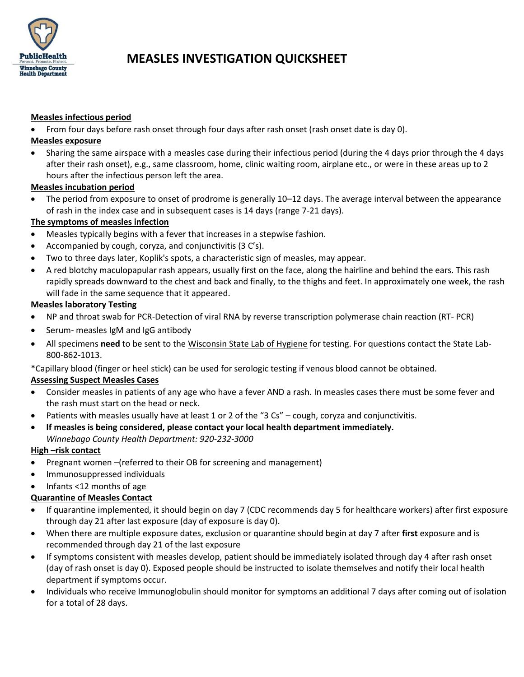

# **MEASLES INVESTIGATION QUICKSHEET**

### **Measles infectious period**

From four days before rash onset through four days after rash onset (rash onset date is day 0).

#### **Measles exposure**

 Sharing the same airspace with a measles case during their infectious period (during the 4 days prior through the 4 days after their rash onset), e.g., same classroom, home, clinic waiting room, airplane etc., or were in these areas up to 2 hours after the infectious person left the area.

### **Measles incubation period**

 The period from exposure to onset of prodrome is generally 10–12 days. The average interval between the appearance of rash in the index case and in subsequent cases is 14 days (range 7-21 days).

# **The symptoms of measles infection**

- Measles typically begins with a fever that increases in a stepwise fashion.
- Accompanied by cough, coryza, and conjunctivitis (3 C's).
- Two to three days later, Koplik's spots, a characteristic sign of measles, may appear.
- A red blotchy maculopapular rash appears, usually first on the face, along the hairline and behind the ears. This rash rapidly spreads downward to the chest and back and finally, to the thighs and feet. In approximately one week, the rash will fade in the same sequence that it appeared.

### **Measles laboratory Testing**

- NP and throat swab for PCR-Detection of viral RNA by reverse transcription polymerase chain reaction (RT- PCR)
- Serum- measles IgM and IgG antibody
- All specimens **need** to be sent to the Wisconsin State Lab of Hygiene for testing. For questions contact the State Lab-800-862-1013.

\*Capillary blood (finger or heel stick) can be used for serologic testing if venous blood cannot be obtained.

# **Assessing Suspect Measles Cases**

- Consider measles in patients of any age who have a fever AND a rash. In measles cases there must be some fever and the rash must start on the head or neck.
- Patients with measles usually have at least 1 or 2 of the "3 Cs" cough, coryza and conjunctivitis.
- **If measles is being considered, please contact your local health department immediately.**  *Winnebago County Health Department: 920-232-3000*

# **High –risk contact**

- Pregnant women –(referred to their OB for screening and management)
- Immunosuppressed individuals
- Infants <12 months of age

# **Quarantine of Measles Contact**

- If quarantine implemented, it should begin on day 7 (CDC recommends day 5 for healthcare workers) after first exposure through day 21 after last exposure (day of exposure is day 0).
- When there are multiple exposure dates, exclusion or quarantine should begin at day 7 after **first** exposure and is recommended through day 21 of the last exposure
- If symptoms consistent with measles develop, patient should be immediately isolated through day 4 after rash onset (day of rash onset is day 0). Exposed people should be instructed to isolate themselves and notify their local health department if symptoms occur.
- Individuals who receive Immunoglobulin should monitor for symptoms an additional 7 days after coming out of isolation for a total of 28 days.